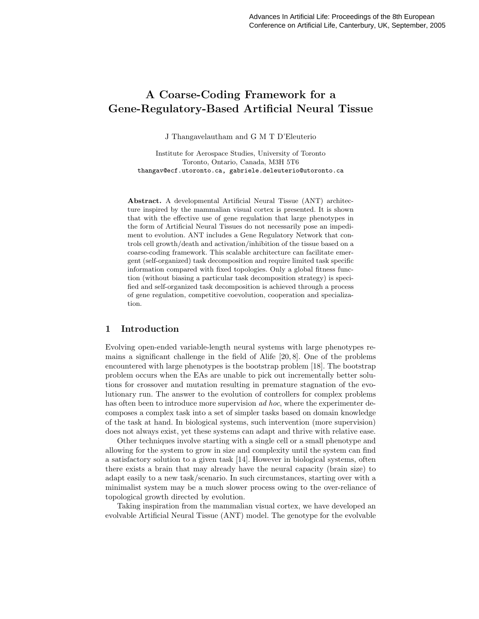# A Coarse-Coding Framework for a Gene-Regulatory-Based Artificial Neural Tissue

J Thangavelautham and G M T D'Eleuterio

Institute for Aerospace Studies, University of Toronto Toronto, Ontario, Canada, M3H 5T6 thangav@ecf.utoronto.ca, gabriele.deleuterio@utoronto.ca

Abstract. A developmental Artificial Neural Tissue (ANT) architecture inspired by the mammalian visual cortex is presented. It is shown that with the effective use of gene regulation that large phenotypes in the form of Artificial Neural Tissues do not necessarily pose an impediment to evolution. ANT includes a Gene Regulatory Network that controls cell growth/death and activation/inhibition of the tissue based on a coarse-coding framework. This scalable architecture can facilitate emergent (self-organized) task decomposition and require limited task specific information compared with fixed topologies. Only a global fitness function (without biasing a particular task decomposition strategy) is specified and self-organized task decomposition is achieved through a process of gene regulation, competitive coevolution, cooperation and specialization.

### 1 Introduction

Evolving open-ended variable-length neural systems with large phenotypes remains a significant challenge in the field of Alife [20, 8]. One of the problems encountered with large phenotypes is the bootstrap problem [18]. The bootstrap problem occurs when the EAs are unable to pick out incrementally better solutions for crossover and mutation resulting in premature stagnation of the evolutionary run. The answer to the evolution of controllers for complex problems has often been to introduce more supervision *ad hoc*, where the experimenter decomposes a complex task into a set of simpler tasks based on domain knowledge of the task at hand. In biological systems, such intervention (more supervision) does not always exist, yet these systems can adapt and thrive with relative ease.

Other techniques involve starting with a single cell or a small phenotype and allowing for the system to grow in size and complexity until the system can find a satisfactory solution to a given task [14]. However in biological systems, often there exists a brain that may already have the neural capacity (brain size) to adapt easily to a new task/scenario. In such circumstances, starting over with a minimalist system may be a much slower process owing to the over-reliance of topological growth directed by evolution.

Taking inspiration from the mammalian visual cortex, we have developed an evolvable Artificial Neural Tissue (ANT) model. The genotype for the evolvable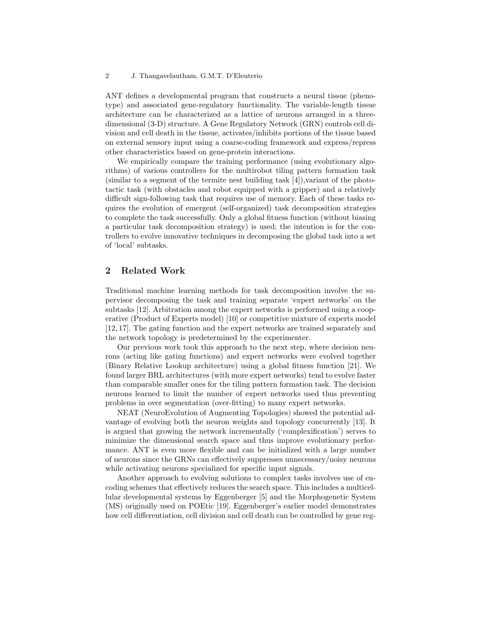ANT defines a developmental program that constructs a neural tissue (phenotype) and associated gene-regulatory functionality. The variable-length tissue architecture can be characterized as a lattice of neurons arranged in a threedimensional (3-D) structure. A Gene Regulatory Network (GRN) controls cell division and cell death in the tissue, activates/inhibits portions of the tissue based on external sensory input using a coarse-coding framework and express/repress other characteristics based on gene-protein interactions.

We empirically compare the training performance (using evolutionary algorithms) of various controllers for the multirobot tiling pattern formation task  $(\text{similar to a segment of the termite nest building task } [4])$ , variant of the phototactic task (with obstacles and robot equipped with a gripper) and a relatively difficult sign-following task that requires use of memory. Each of these tasks requires the evolution of emergent (self-organized) task decomposition strategies to complete the task successfully. Only a global fitness function (without biasing a particular task decomposition strategy) is used; the intention is for the controllers to evolve innovative techniques in decomposing the global task into a set of 'local' subtasks.

# 2 Related Work

Traditional machine learning methods for task decomposition involve the supervisor decomposing the task and training separate 'expert networks' on the subtasks [12]. Arbitration among the expert networks is performed using a cooperative (Product of Experts model) [10] or competitive mixture of experts model [12, 17]. The gating function and the expert networks are trained separately and the network topology is predetermined by the experimenter.

Our previous work took this approach to the next step, where decision neurons (acting like gating functions) and expert networks were evolved together (Binary Relative Lookup architecture) using a global fitness function [21]. We found larger BRL architectures (with more expert networks) tend to evolve faster than comparable smaller ones for the tiling pattern formation task. The decision neurons learned to limit the number of expert networks used thus preventing problems in over segmentation (over-fitting) to many expert networks.

NEAT (NeuroEvolution of Augmenting Topologies) showed the potential advantage of evolving both the neuron weights and topology concurrently [13]. It is argued that growing the network incrementally ('complexification') serves to minimize the dimensional search space and thus improve evolutionary performance. ANT is even more flexible and can be initialized with a large number of neurons since the GRNs can effectively suppresses unnecessary/noisy neurons while activating neurons specialized for specific input signals.

Another approach to evolving solutions to complex tasks involves use of encoding schemes that effectively reduces the search space. This includes a multicellular developmental systems by Eggenberger [5] and the Morphogenetic System (MS) originally used on POEtic [19]. Eggenberger's earlier model demonstrates how cell differentiation, cell division and cell death can be controlled by gene reg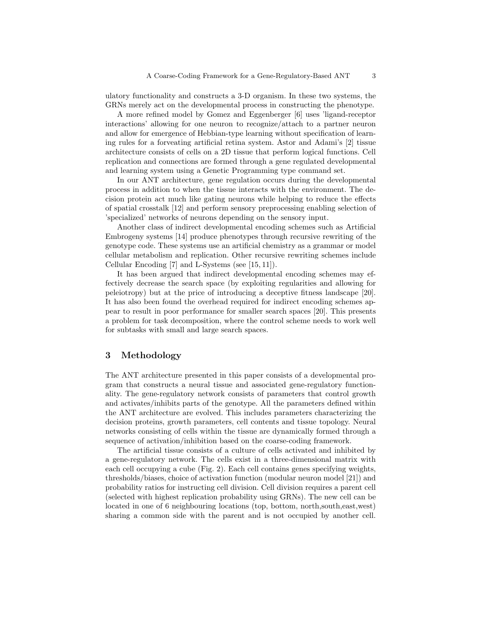ulatory functionality and constructs a 3-D organism. In these two systems, the GRNs merely act on the developmental process in constructing the phenotype.

A more refined model by Gomez and Eggenberger [6] uses 'ligand-receptor interactions' allowing for one neuron to recognize/attach to a partner neuron and allow for emergence of Hebbian-type learning without specification of learning rules for a forveating artificial retina system. Astor and Adami's [2] tissue architecture consists of cells on a 2D tissue that perform logical functions. Cell replication and connections are formed through a gene regulated developmental and learning system using a Genetic Programming type command set.

In our ANT architecture, gene regulation occurs during the developmental process in addition to when the tissue interacts with the environment. The decision protein act much like gating neurons while helping to reduce the effects of spatial crosstalk [12] and perform sensory preprocessing enabling selection of 'specialized' networks of neurons depending on the sensory input.

Another class of indirect developmental encoding schemes such as Artificial Embrogeny systems [14] produce phenotypes through recursive rewriting of the genotype code. These systems use an artificial chemistry as a grammar or model cellular metabolism and replication. Other recursive rewriting schemes include Cellular Encoding [7] and L-Systems (see [15, 11]).

It has been argued that indirect developmental encoding schemes may effectively decrease the search space (by exploiting regularities and allowing for peleiotropy) but at the price of introducing a deceptive fitness landscape [20]. It has also been found the overhead required for indirect encoding schemes appear to result in poor performance for smaller search spaces [20]. This presents a problem for task decomposition, where the control scheme needs to work well for subtasks with small and large search spaces.

# 3 Methodology

The ANT architecture presented in this paper consists of a developmental program that constructs a neural tissue and associated gene-regulatory functionality. The gene-regulatory network consists of parameters that control growth and activates/inhibits parts of the genotype. All the parameters defined within the ANT architecture are evolved. This includes parameters characterizing the decision proteins, growth parameters, cell contents and tissue topology. Neural networks consisting of cells within the tissue are dynamically formed through a sequence of activation/inhibition based on the coarse-coding framework.

The artificial tissue consists of a culture of cells activated and inhibited by a gene-regulatory network. The cells exist in a three-dimensional matrix with each cell occupying a cube (Fig. 2). Each cell contains genes specifying weights, thresholds/biases, choice of activation function (modular neuron model [21]) and probability ratios for instructing cell division. Cell division requires a parent cell (selected with highest replication probability using GRNs). The new cell can be located in one of 6 neighbouring locations (top, bottom, north,south,east,west) sharing a common side with the parent and is not occupied by another cell.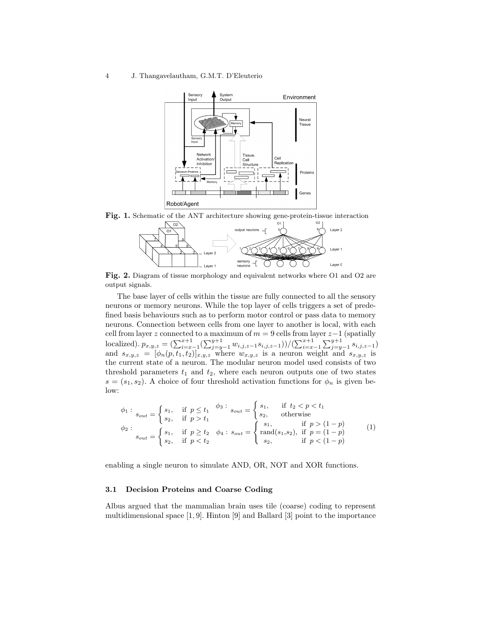#### 4 J. Thangavelautham, G.M.T. D'Eleuterio



Fig. 1. Schematic of the ANT architecture showing gene-protein-tissue interaction



Fig. 2. Diagram of tissue morphology and equivalent networks where O1 and O2 are output signals.

The base layer of cells within the tissue are fully connected to all the sensory neurons or memory neurons. While the top layer of cells triggers a set of predefined basis behaviours such as to perform motor control or pass data to memory neurons. Connection between cells from one layer to another is local, with each cell from layer z connected to a maximum of  $m = 9$  cells from layer  $z-1$  (spatially localized).  $p_{x,y,z} = (\sum_{i=x-1}^{x+1} (\sum_{j=y-1}^{y+1} w_{i,j,z-1} s_{i,j,z-1})) / (\sum_{i=x-1}^{x+1} \sum_{j=y-1}^{y+1} s_{i,j,z-1})$ and  $s_{x,y,z} = [\phi_n(p, t_1, t_2)]_{x,y,z}$  where  $w_{x,y,z}$  is a neuron weight and  $s_{x,y,z}$  is the current state of a neuron. The modular neuron model used consists of two threshold parameters  $t_1$  and  $t_2$ , where each neuron outputs one of two states  $s = (s_1, s_2)$ . A choice of four threshold activation functions for  $\phi_n$  is given below:

$$
\phi_1: \begin{aligned}\n\phi_1: \quad & s_{out} = \begin{cases}\ns_1, & \text{if } p \le t_1 \\
s_2, & \text{if } p > t_1\n\end{cases} \quad s_{out} = \begin{cases}\ns_1, & \text{if } t_2 < p < t_1 \\
s_2, & \text{otherwise}\n\end{cases} \\
\phi_2: \quad & s_{out} = \begin{cases}\ns_1, & \text{if } p > (1-p) \\
s_2, & \text{if } p < t_2\n\end{cases} \quad (1) \\
\phi_3: \quad & \text{if } p < t_2\n\end{aligned}
$$

enabling a single neuron to simulate AND, OR, NOT and XOR functions.

### 3.1 Decision Proteins and Coarse Coding

Albus argued that the mammalian brain uses tile (coarse) coding to represent multidimensional space [1, 9]. Hinton [9] and Ballard [3] point to the importance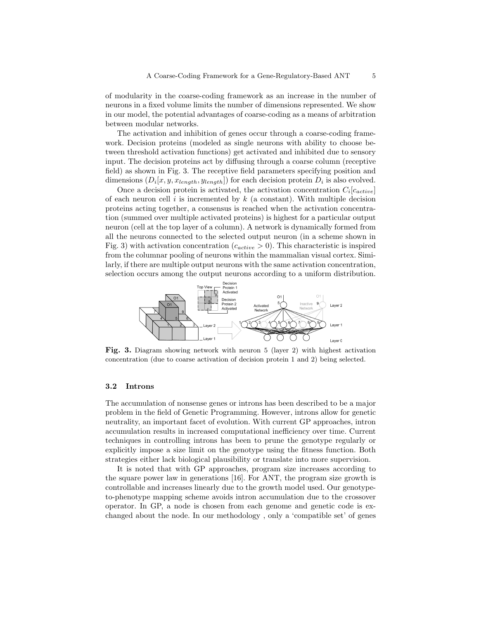of modularity in the coarse-coding framework as an increase in the number of neurons in a fixed volume limits the number of dimensions represented. We show in our model, the potential advantages of coarse-coding as a means of arbitration between modular networks.

The activation and inhibition of genes occur through a coarse-coding framework. Decision proteins (modeled as single neurons with ability to choose between threshold activation functions) get activated and inhibited due to sensory input. The decision proteins act by diffusing through a coarse column (receptive field) as shown in Fig. 3. The receptive field parameters specifying position and dimensions  $(D_i[x, y, x_{length}, y_{length}])$  for each decision protein  $D_i$  is also evolved.

Once a decision protein is activated, the activation concentration  $C_i[c_{active}]$ of each neuron cell i is incremented by  $k$  (a constant). With multiple decision proteins acting together, a consensus is reached when the activation concentration (summed over multiple activated proteins) is highest for a particular output neuron (cell at the top layer of a column). A network is dynamically formed from all the neurons connected to the selected output neuron (in a scheme shown in Fig. 3) with activation concentration ( $c_{active} > 0$ ). This characteristic is inspired from the columnar pooling of neurons within the mammalian visual cortex. Similarly, if there are multiple output neurons with the same activation concentration, selection occurs among the output neurons according to a uniform distribution.



Fig. 3. Diagram showing network with neuron 5 (layer 2) with highest activation concentration (due to coarse activation of decision protein 1 and 2) being selected.

### 3.2 Introns

The accumulation of nonsense genes or introns has been described to be a major problem in the field of Genetic Programming. However, introns allow for genetic neutrality, an important facet of evolution. With current GP approaches, intron accumulation results in increased computational inefficiency over time. Current techniques in controlling introns has been to prune the genotype regularly or explicitly impose a size limit on the genotype using the fitness function. Both strategies either lack biological plausibility or translate into more supervision.

It is noted that with GP approaches, program size increases according to the square power law in generations [16]. For ANT, the program size growth is controllable and increases linearly due to the growth model used. Our genotypeto-phenotype mapping scheme avoids intron accumulation due to the crossover operator. In GP, a node is chosen from each genome and genetic code is exchanged about the node. In our methodology , only a 'compatible set' of genes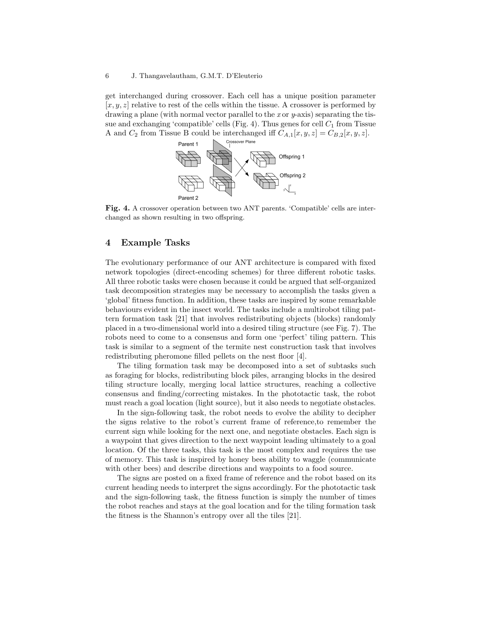#### 6 J. Thangavelautham, G.M.T. D'Eleuterio

get interchanged during crossover. Each cell has a unique position parameter  $[x, y, z]$  relative to rest of the cells within the tissue. A crossover is performed by drawing a plane (with normal vector parallel to the x or  $y$ -axis) separating the tissue and exchanging 'compatible' cells (Fig. 4). Thus genes for cell  $C_1$  from Tissue A and  $C_2$  from Tissue B could be interchanged iff  $C_{A,1}[x, y, z] = C_{B,2}[x, y, z]$ .



Fig. 4. A crossover operation between two ANT parents. 'Compatible' cells are interchanged as shown resulting in two offspring.

## 4 Example Tasks

The evolutionary performance of our ANT architecture is compared with fixed network topologies (direct-encoding schemes) for three different robotic tasks. All three robotic tasks were chosen because it could be argued that self-organized task decomposition strategies may be necessary to accomplish the tasks given a 'global' fitness function. In addition, these tasks are inspired by some remarkable behaviours evident in the insect world. The tasks include a multirobot tiling pattern formation task [21] that involves redistributing objects (blocks) randomly placed in a two-dimensional world into a desired tiling structure (see Fig. 7). The robots need to come to a consensus and form one 'perfect' tiling pattern. This task is similar to a segment of the termite nest construction task that involves redistributing pheromone filled pellets on the nest floor [4].

The tiling formation task may be decomposed into a set of subtasks such as foraging for blocks, redistributing block piles, arranging blocks in the desired tiling structure locally, merging local lattice structures, reaching a collective consensus and finding/correcting mistakes. In the phototactic task, the robot must reach a goal location (light source), but it also needs to negotiate obstacles.

In the sign-following task, the robot needs to evolve the ability to decipher the signs relative to the robot's current frame of reference,to remember the current sign while looking for the next one, and negotiate obstacles. Each sign is a waypoint that gives direction to the next waypoint leading ultimately to a goal location. Of the three tasks, this task is the most complex and requires the use of memory. This task is inspired by honey bees ability to waggle (communicate with other bees) and describe directions and waypoints to a food source.

The signs are posted on a fixed frame of reference and the robot based on its current heading needs to interpret the signs accordingly. For the phototactic task and the sign-following task, the fitness function is simply the number of times the robot reaches and stays at the goal location and for the tiling formation task the fitness is the Shannon's entropy over all the tiles [21].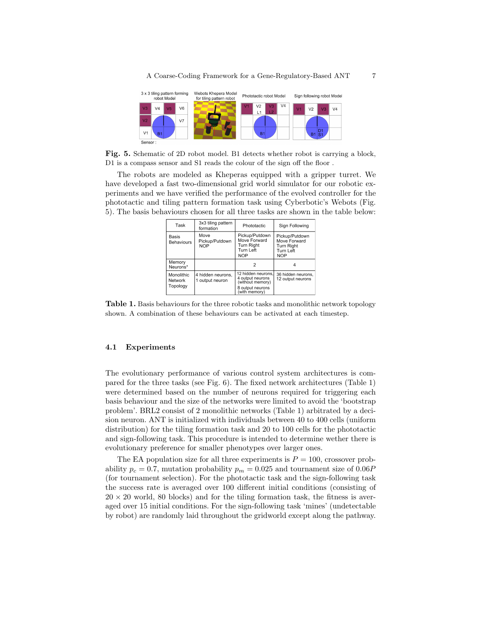

Fig. 5. Schematic of 2D robot model. B1 detects whether robot is carrying a block, D1 is a compass sensor and S1 reads the colour of the sign off the floor .

The robots are modeled as Kheperas equipped with a gripper turret. We have developed a fast two-dimensional grid world simulator for our robotic experiments and we have verified the performance of the evolved controller for the phototactic and tiling pattern formation task using Cyberbotic's Webots (Fig. 5). The basis behaviours chosen for all three tasks are shown in the table below:

| Task                       | 3x3 tiling pattern<br>formation         | Phototactic                                                             | Sign Following                                                          |
|----------------------------|-----------------------------------------|-------------------------------------------------------------------------|-------------------------------------------------------------------------|
| Basis<br><b>Behaviours</b> | Move<br>Pickup/Putdown<br><b>NOP</b>    | Pickup/Putdown<br>Move Forward<br>Turn Right<br>Turn Left<br><b>NOP</b> | Pickup/Putdown<br>Move Forward<br>Turn Right<br>Turn Left<br><b>NOP</b> |
| Memory<br>Neurons*         |                                         |                                                                         |                                                                         |
| Monolithic<br>Network      | 4 hidden neurons,<br>output neuron<br>1 | 12 hidden neurons.<br>4 output neurons<br>(without memory)              | 36 hidden neurons,<br>12 output neurons                                 |
| Topology                   |                                         | 8 output neurons<br>(with memory)                                       |                                                                         |

Table 1. Basis behaviours for the three robotic tasks and monolithic network topology shown. A combination of these behaviours can be activated at each timestep.

### 4.1 Experiments

The evolutionary performance of various control system architectures is compared for the three tasks (see Fig. 6). The fixed network architectures (Table 1) were determined based on the number of neurons required for triggering each basis behaviour and the size of the networks were limited to avoid the 'bootstrap problem'. BRL2 consist of 2 monolithic networks (Table 1) arbitrated by a decision neuron. ANT is initialized with individuals between 40 to 400 cells (uniform distribution) for the tiling formation task and 20 to 100 cells for the phototactic and sign-following task. This procedure is intended to determine wether there is evolutionary preference for smaller phenotypes over larger ones.

The EA population size for all three experiments is  $P = 100$ , crossover probability  $p_c = 0.7$ , mutation probability  $p_m = 0.025$  and tournament size of  $0.06P$ (for tournament selection). For the phototactic task and the sign-following task the success rate is averaged over 100 different initial conditions (consisting of  $20 \times 20$  world, 80 blocks) and for the tiling formation task, the fitness is averaged over 15 initial conditions. For the sign-following task 'mines' (undetectable by robot) are randomly laid throughout the gridworld except along the pathway.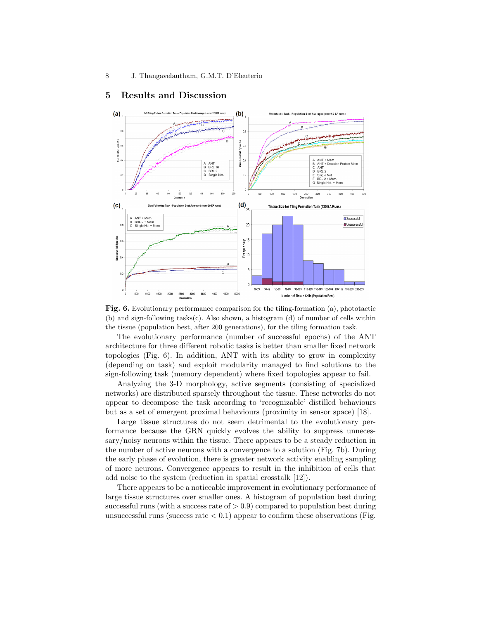

### 5 Results and Discussion

Fig. 6. Evolutionary performance comparison for the tiling-formation (a), phototactic (b) and sign-following tasks(c). Also shown, a histogram (d) of number of cells within the tissue (population best, after 200 generations), for the tiling formation task.

The evolutionary performance (number of successful epochs) of the ANT architecture for three different robotic tasks is better than smaller fixed network topologies (Fig. 6). In addition, ANT with its ability to grow in complexity (depending on task) and exploit modularity managed to find solutions to the sign-following task (memory dependent) where fixed topologies appear to fail.

Analyzing the 3-D morphology, active segments (consisting of specialized networks) are distributed sparsely throughout the tissue. These networks do not appear to decompose the task according to 'recognizable' distilled behaviours but as a set of emergent proximal behaviours (proximity in sensor space) [18].

Large tissue structures do not seem detrimental to the evolutionary performance because the GRN quickly evolves the ability to suppress unnecessary/noisy neurons within the tissue. There appears to be a steady reduction in the number of active neurons with a convergence to a solution (Fig. 7b). During the early phase of evolution, there is greater network activity enabling sampling of more neurons. Convergence appears to result in the inhibition of cells that add noise to the system (reduction in spatial crosstalk [12]).

There appears to be a noticeable improvement in evolutionary performance of large tissue structures over smaller ones. A histogram of population best during successful runs (with a success rate of  $> 0.9$ ) compared to population best during unsuccessful runs (success rate  $< 0.1$ ) appear to confirm these observations (Fig.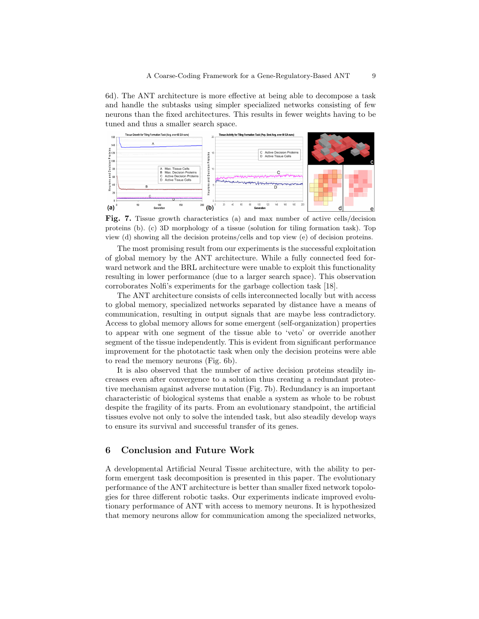6d). The ANT architecture is more effective at being able to decompose a task and handle the subtasks using simpler specialized networks consisting of few neurons than the fixed architectures. This results in fewer weights having to be tuned and thus a smaller search space.



Fig. 7. Tissue growth characteristics (a) and max number of active cells/decision proteins (b). (c) 3D morphology of a tissue (solution for tiling formation task). Top view (d) showing all the decision proteins/cells and top view (e) of decision proteins.

The most promising result from our experiments is the successful exploitation of global memory by the ANT architecture. While a fully connected feed forward network and the BRL architecture were unable to exploit this functionality resulting in lower performance (due to a larger search space). This observation corroborates Nolfi's experiments for the garbage collection task [18].

The ANT architecture consists of cells interconnected locally but with access to global memory, specialized networks separated by distance have a means of communication, resulting in output signals that are maybe less contradictory. Access to global memory allows for some emergent (self-organization) properties to appear with one segment of the tissue able to 'veto' or override another segment of the tissue independently. This is evident from significant performance improvement for the phototactic task when only the decision proteins were able to read the memory neurons (Fig. 6b).

It is also observed that the number of active decision proteins steadily increases even after convergence to a solution thus creating a redundant protective mechanism against adverse mutation (Fig. 7b). Redundancy is an important characteristic of biological systems that enable a system as whole to be robust despite the fragility of its parts. From an evolutionary standpoint, the artificial tissues evolve not only to solve the intended task, but also steadily develop ways to ensure its survival and successful transfer of its genes.

### 6 Conclusion and Future Work

A developmental Artificial Neural Tissue architecture, with the ability to perform emergent task decomposition is presented in this paper. The evolutionary performance of the ANT architecture is better than smaller fixed network topologies for three different robotic tasks. Our experiments indicate improved evolutionary performance of ANT with access to memory neurons. It is hypothesized that memory neurons allow for communication among the specialized networks,